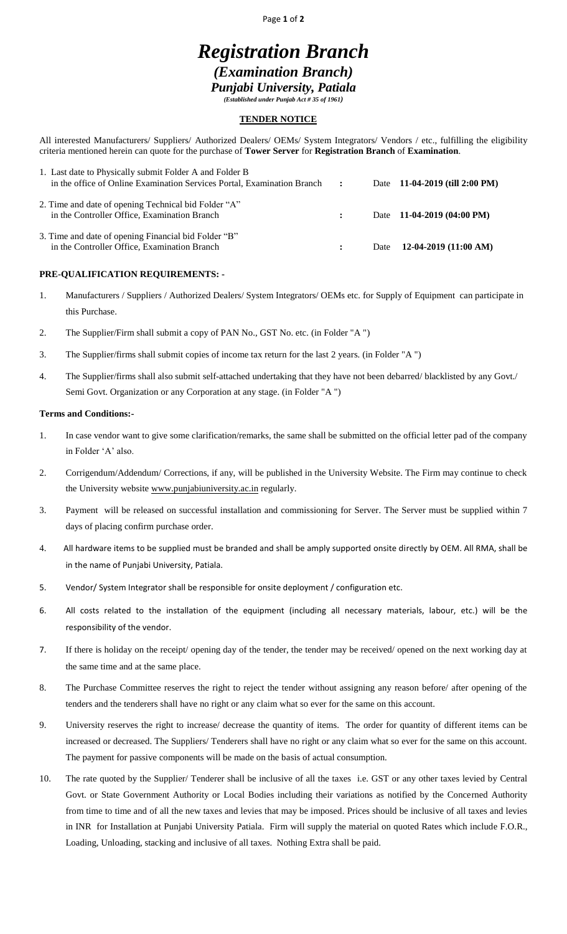Page **1** of **2**

# *Registration Branch (Examination Branch) Punjabi University, Patiala*

*(Established under Punjab Act # 35 of 1961)*

### **TENDER NOTICE**

All interested Manufacturers/ Suppliers/ Authorized Dealers/ OEMs/ System Integrators/ Vendors / etc., fulfilling the eligibility criteria mentioned herein can quote for the purchase of **Tower Server** for **Registration Branch** of **Examination**.

| 1. Last date to Physically submit Folder A and Folder B<br>in the office of Online Examination Services Portal, Examination Branch : |              | Date 11-04-2019 (till 2:00 PM)      |
|--------------------------------------------------------------------------------------------------------------------------------------|--------------|-------------------------------------|
| 2. Time and date of opening Technical bid Folder "A"<br>in the Controller Office, Examination Branch                                 | $\mathbf{r}$ | Date $11-04-2019(04:00 \text{ PM})$ |
| 3. Time and date of opening Financial bid Folder "B"<br>in the Controller Office, Examination Branch                                 |              | Date $12-04-2019$ (11:00 AM)        |

## **PRE-QUALIFICATION REQUIREMENTS: -**

- 1. Manufacturers / Suppliers / Authorized Dealers/ System Integrators/ OEMs etc. for Supply of Equipment can participate in this Purchase.
- 2. The Supplier/Firm shall submit a copy of PAN No., GST No. etc. (in Folder "A ")
- 3. The Supplier/firms shall submit copies of income tax return for the last 2 years. (in Folder "A ")
- 4. The Supplier/firms shall also submit self-attached undertaking that they have not been debarred/ blacklisted by any Govt./ Semi Govt. Organization or any Corporation at any stage. (in Folder "A ")

#### **Terms and Conditions:-**

- 1. In case vendor want to give some clarification/remarks, the same shall be submitted on the official letter pad of the company in Folder 'A' also.
- 2. Corrigendum/Addendum/ Corrections, if any, will be published in the University Website. The Firm may continue to check the University website [www.punjabiuniversity.ac.in](http://www.punjabiuniversity.ac.in/) regularly.
- 3. Payment will be released on successful installation and commissioning for Server. The Server must be supplied within 7 days of placing confirm purchase order.
- 4. All hardware items to be supplied must be branded and shall be amply supported onsite directly by OEM. All RMA, shall be in the name of Punjabi University, Patiala.
- 5. Vendor/ System Integrator shall be responsible for onsite deployment / configuration etc.
- 6. All costs related to the installation of the equipment (including all necessary materials, labour, etc.) will be the responsibility of the vendor.
- 7. If there is holiday on the receipt/ opening day of the tender, the tender may be received/ opened on the next working day at the same time and at the same place.
- 8. The Purchase Committee reserves the right to reject the tender without assigning any reason before/ after opening of the tenders and the tenderers shall have no right or any claim what so ever for the same on this account.
- 9. University reserves the right to increase/ decrease the quantity of items. The order for quantity of different items can be increased or decreased. The Suppliers/ Tenderers shall have no right or any claim what so ever for the same on this account. The payment for passive components will be made on the basis of actual consumption.
- 10. The rate quoted by the Supplier/ Tenderer shall be inclusive of all the taxes i.e. GST or any other taxes levied by Central Govt. or State Government Authority or Local Bodies including their variations as notified by the Concerned Authority from time to time and of all the new taxes and levies that may be imposed. Prices should be inclusive of all taxes and levies in INR for Installation at Punjabi University Patiala. Firm will supply the material on quoted Rates which include F.O.R., Loading, Unloading, stacking and inclusive of all taxes. Nothing Extra shall be paid.